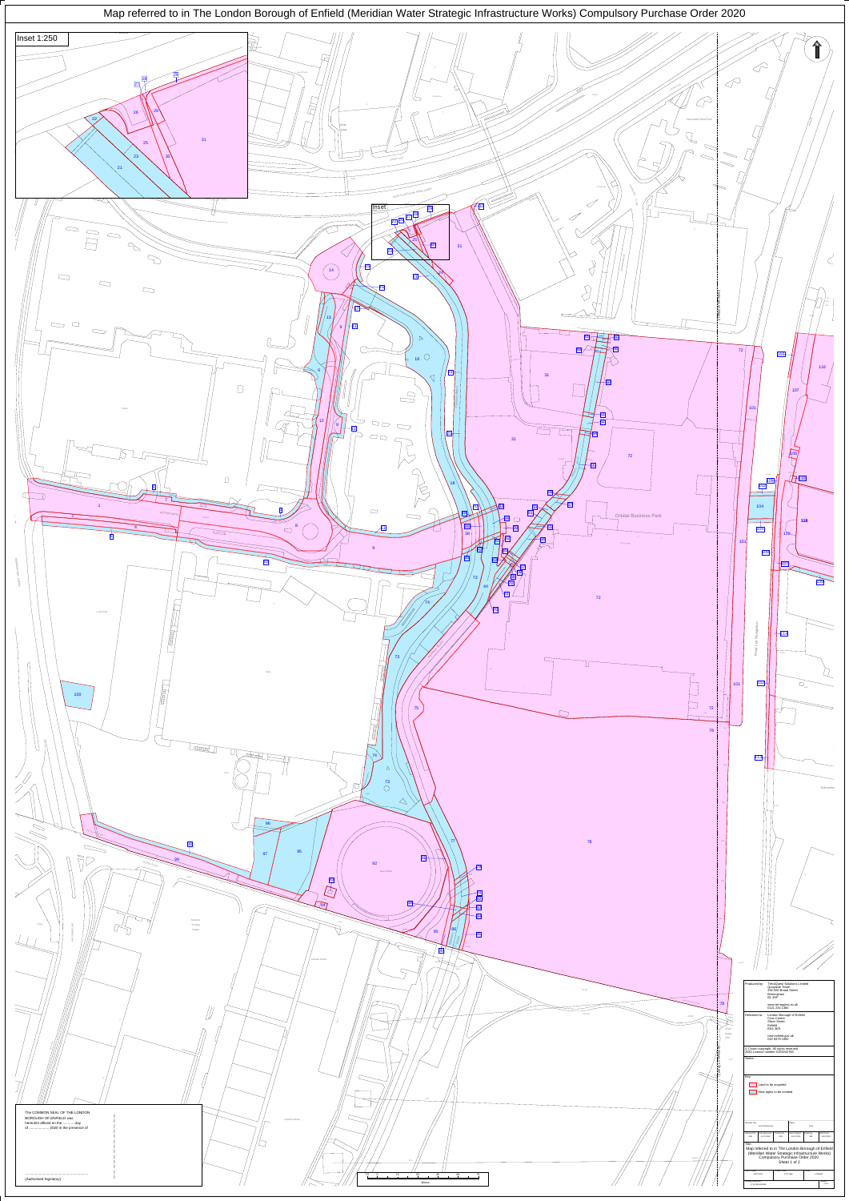